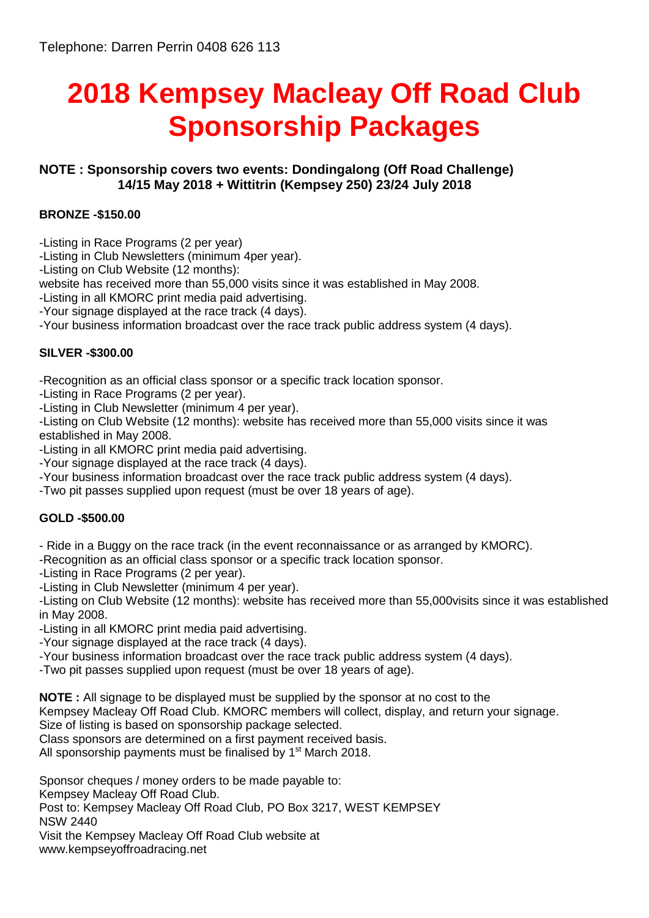# **2018 Kempsey Macleay Off Road Club Sponsorship Packages**

## **NOTE : Sponsorship covers two events: Dondingalong (Off Road Challenge) 14/15 May 2018 + Wittitrin (Kempsey 250) 23/24 July 2018**

## **BRONZE -\$150.00**

-Listing in Race Programs (2 per year)

-Listing in Club Newsletters (minimum 4per year).

-Listing on Club Website (12 months):

website has received more than 55,000 visits since it was established in May 2008.

-Listing in all KMORC print media paid advertising.

-Your signage displayed at the race track (4 days).

-Your business information broadcast over the race track public address system (4 days).

## **SILVER -\$300.00**

-Recognition as an official class sponsor or a specific track location sponsor.

-Listing in Race Programs (2 per year).

-Listing in Club Newsletter (minimum 4 per year).

-Listing on Club Website (12 months): website has received more than 55,000 visits since it was established in May 2008.

-Listing in all KMORC print media paid advertising.

-Your signage displayed at the race track (4 days).

-Your business information broadcast over the race track public address system (4 days).

-Two pit passes supplied upon request (must be over 18 years of age).

#### **GOLD -\$500.00**

- Ride in a Buggy on the race track (in the event reconnaissance or as arranged by KMORC).

-Recognition as an official class sponsor or a specific track location sponsor.

-Listing in Race Programs (2 per year).

-Listing in Club Newsletter (minimum 4 per year).

-Listing on Club Website (12 months): website has received more than 55,000visits since it was established in May 2008.

-Listing in all KMORC print media paid advertising.

-Your signage displayed at the race track (4 days).

-Your business information broadcast over the race track public address system (4 days).

-Two pit passes supplied upon request (must be over 18 years of age).

**NOTE :** All signage to be displayed must be supplied by the sponsor at no cost to the

Kempsey Macleay Off Road Club. KMORC members will collect, display, and return your signage.

Size of listing is based on sponsorship package selected.

Class sponsors are determined on a first payment received basis.

All sponsorship payments must be finalised by  $1<sup>st</sup>$  March 2018.

Sponsor cheques / money orders to be made payable to: Kempsey Macleay Off Road Club. Post to: Kempsey Macleay Off Road Club, PO Box 3217, WEST KEMPSEY NSW 2440 Visit the Kempsey Macleay Off Road Club website at www.kempseyoffroadracing.net